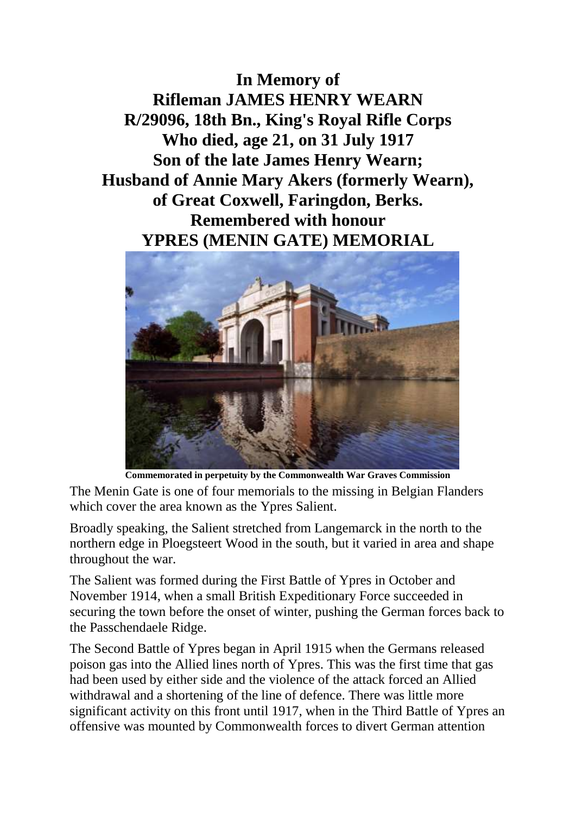**In Memory of Rifleman JAMES HENRY WEARN R/29096, 18th Bn., King's Royal Rifle Corps Who died, age 21, on 31 July 1917 Son of the late James Henry Wearn; Husband of Annie Mary Akers (formerly Wearn), of Great Coxwell, Faringdon, Berks. Remembered with honour YPRES (MENIN GATE) MEMORIAL**



**Commemorated in perpetuity by the Commonwealth War Graves Commission**

The Menin Gate is one of four memorials to the missing in Belgian Flanders which cover the area known as the Ypres Salient.

Broadly speaking, the Salient stretched from Langemarck in the north to the northern edge in Ploegsteert Wood in the south, but it varied in area and shape throughout the war.

The Salient was formed during the First Battle of Ypres in October and November 1914, when a small British Expeditionary Force succeeded in securing the town before the onset of winter, pushing the German forces back to the Passchendaele Ridge.

The Second Battle of Ypres began in April 1915 when the Germans released poison gas into the Allied lines north of Ypres. This was the first time that gas had been used by either side and the violence of the attack forced an Allied withdrawal and a shortening of the line of defence. There was little more significant activity on this front until 1917, when in the Third Battle of Ypres an offensive was mounted by Commonwealth forces to divert German attention